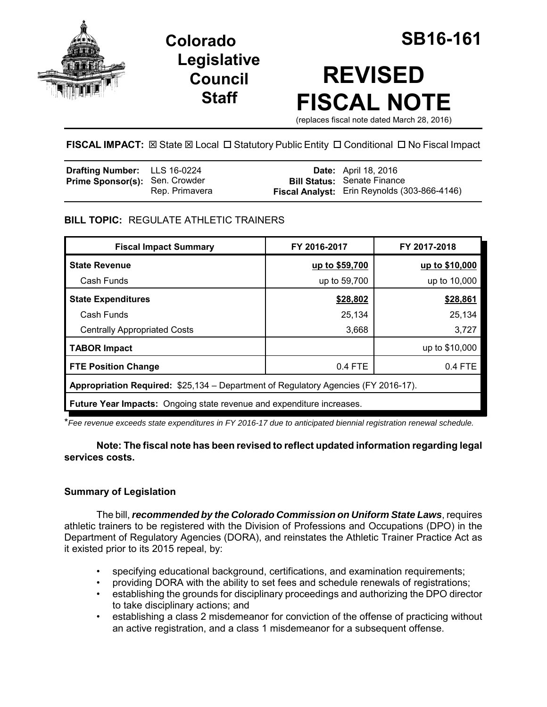

**Legislative Council Staff**



# **REVISED FISCAL NOTE**

(replaces fiscal note dated March 28, 2016)

**FISCAL IMPACT:**  $\boxtimes$  **State**  $\boxtimes$  **Local □ Statutory Public Entity □ Conditional □ No Fiscal Impact** 

| <b>Drafting Number:</b> LLS 16-0224   |                | <b>Date:</b> April 18, 2016                                                        |
|---------------------------------------|----------------|------------------------------------------------------------------------------------|
| <b>Prime Sponsor(s): Sen. Crowder</b> | Rep. Primavera | <b>Bill Status: Senate Finance</b><br>Fiscal Analyst: Erin Reynolds (303-866-4146) |

## **BILL TOPIC:** REGULATE ATHLETIC TRAINERS

| <b>Fiscal Impact Summary</b>                                                       | FY 2016-2017   | FY 2017-2018   |  |  |
|------------------------------------------------------------------------------------|----------------|----------------|--|--|
| <b>State Revenue</b>                                                               | up to \$59,700 | up to \$10,000 |  |  |
| Cash Funds                                                                         | up to 59,700   | up to 10,000   |  |  |
| <b>State Expenditures</b>                                                          | \$28,802       | \$28,861       |  |  |
| Cash Funds                                                                         | 25,134         | 25,134         |  |  |
| <b>Centrally Appropriated Costs</b>                                                | 3,668          | 3,727          |  |  |
| <b>TABOR Impact</b>                                                                |                | up to \$10,000 |  |  |
| <b>FTE Position Change</b>                                                         | 0.4 FTE        | $0.4$ FTE      |  |  |
| Appropriation Required: \$25,134 – Department of Regulatory Agencies (FY 2016-17). |                |                |  |  |
| <b>Future Year Impacts:</b> Ongoing state revenue and expenditure increases.       |                |                |  |  |

\**Fee revenue exceeds state expenditures in FY 2016-17 due to anticipated biennial registration renewal schedule.*

## **Note: The fiscal note has been revised to reflect updated information regarding legal services costs.**

## **Summary of Legislation**

The bill, *recommended by the Colorado Commission on Uniform State Laws*, requires athletic trainers to be registered with the Division of Professions and Occupations (DPO) in the Department of Regulatory Agencies (DORA), and reinstates the Athletic Trainer Practice Act as it existed prior to its 2015 repeal, by:

- specifying educational background, certifications, and examination requirements;
- providing DORA with the ability to set fees and schedule renewals of registrations;
- establishing the grounds for disciplinary proceedings and authorizing the DPO director to take disciplinary actions; and
- establishing a class 2 misdemeanor for conviction of the offense of practicing without an active registration, and a class 1 misdemeanor for a subsequent offense.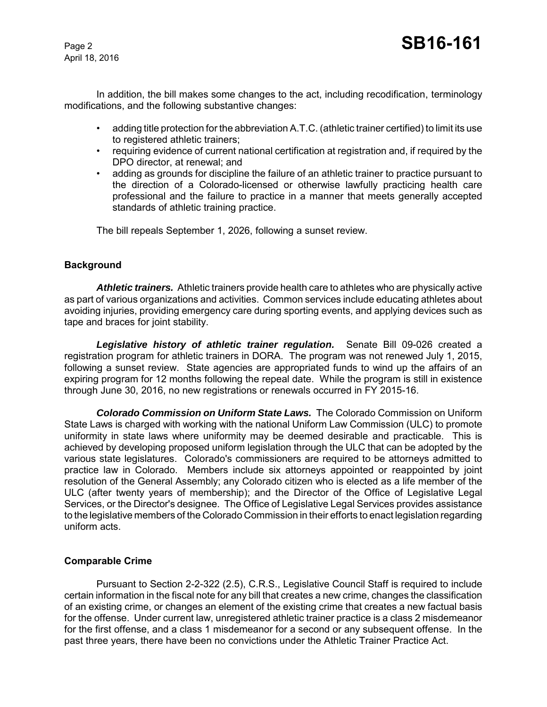April 18, 2016

In addition, the bill makes some changes to the act, including recodification, terminology modifications, and the following substantive changes:

- adding title protection for the abbreviation A.T.C. (athletic trainer certified) to limit its use to registered athletic trainers;
- requiring evidence of current national certification at registration and, if required by the DPO director, at renewal; and
- adding as grounds for discipline the failure of an athletic trainer to practice pursuant to the direction of a Colorado-licensed or otherwise lawfully practicing health care professional and the failure to practice in a manner that meets generally accepted standards of athletic training practice.

The bill repeals September 1, 2026, following a sunset review.

## **Background**

*Athletic trainers.* Athletic trainers provide health care to athletes who are physically active as part of various organizations and activities. Common services include educating athletes about avoiding injuries, providing emergency care during sporting events, and applying devices such as tape and braces for joint stability.

*Legislative history of athletic trainer regulation.* Senate Bill 09-026 created a registration program for athletic trainers in DORA. The program was not renewed July 1, 2015, following a sunset review. State agencies are appropriated funds to wind up the affairs of an expiring program for 12 months following the repeal date. While the program is still in existence through June 30, 2016, no new registrations or renewals occurred in FY 2015-16.

*Colorado Commission on Uniform State Laws.* The Colorado Commission on Uniform State Laws is charged with working with the national Uniform Law Commission (ULC) to promote uniformity in state laws where uniformity may be deemed desirable and practicable. This is achieved by developing proposed uniform legislation through the ULC that can be adopted by the various state legislatures. Colorado's commissioners are required to be attorneys admitted to practice law in Colorado. Members include six attorneys appointed or reappointed by joint resolution of the General Assembly; any Colorado citizen who is elected as a life member of the ULC (after twenty years of membership); and the Director of the Office of Legislative Legal Services, or the Director's designee. The Office of Legislative Legal Services provides assistance to the legislative members of the Colorado Commission in their efforts to enact legislation regarding uniform acts.

#### **Comparable Crime**

Pursuant to Section 2-2-322 (2.5), C.R.S., Legislative Council Staff is required to include certain information in the fiscal note for any bill that creates a new crime, changes the classification of an existing crime, or changes an element of the existing crime that creates a new factual basis for the offense. Under current law, unregistered athletic trainer practice is a class 2 misdemeanor for the first offense, and a class 1 misdemeanor for a second or any subsequent offense. In the past three years, there have been no convictions under the Athletic Trainer Practice Act.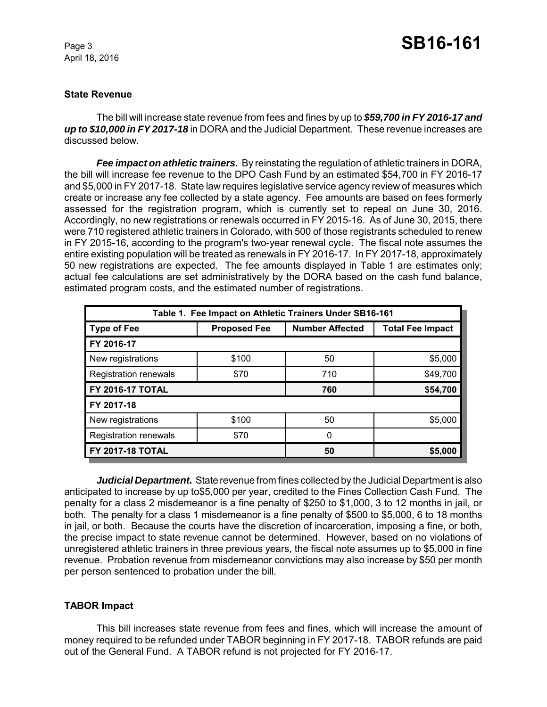April 18, 2016

#### **State Revenue**

The bill will increase state revenue from fees and fines by up to *\$59,700 in FY 2016-17 and up to \$10,000 in FY 2017-18* in DORA and the Judicial Department. These revenue increases are discussed below.

*Fee impact on athletic trainers.* By reinstating the regulation of athletic trainers in DORA, the bill will increase fee revenue to the DPO Cash Fund by an estimated \$54,700 in FY 2016-17 and \$5,000 in FY 2017-18. State law requires legislative service agency review of measures which create or increase any fee collected by a state agency. Fee amounts are based on fees formerly assessed for the registration program, which is currently set to repeal on June 30, 2016. Accordingly, no new registrations or renewals occurred in FY 2015-16. As of June 30, 2015, there were 710 registered athletic trainers in Colorado, with 500 of those registrants scheduled to renew in FY 2015-16, according to the program's two-year renewal cycle. The fiscal note assumes the entire existing population will be treated as renewals in FY 2016-17. In FY 2017-18, approximately 50 new registrations are expected. The fee amounts displayed in Table 1 are estimates only; actual fee calculations are set administratively by the DORA based on the cash fund balance, estimated program costs, and the estimated number of registrations.

| Table 1. Fee Impact on Athletic Trainers Under SB16-161 |                     |                        |                         |  |  |  |
|---------------------------------------------------------|---------------------|------------------------|-------------------------|--|--|--|
| <b>Type of Fee</b>                                      | <b>Proposed Fee</b> | <b>Number Affected</b> | <b>Total Fee Impact</b> |  |  |  |
| FY 2016-17                                              |                     |                        |                         |  |  |  |
| New registrations                                       | \$100               | 50                     | \$5,000                 |  |  |  |
| <b>Registration renewals</b>                            | \$70                | 710                    | \$49,700                |  |  |  |
| <b>FY 2016-17 TOTAL</b>                                 |                     | 760                    | \$54,700                |  |  |  |
| FY 2017-18                                              |                     |                        |                         |  |  |  |
| New registrations                                       | \$100               | 50                     | \$5,000                 |  |  |  |
| <b>Registration renewals</b>                            | \$70                | 0                      |                         |  |  |  |
| <b>FY 2017-18 TOTAL</b>                                 |                     | 50                     | \$5,000                 |  |  |  |

*Judicial Department.* State revenue from fines collected by the Judicial Department is also anticipated to increase by up to\$5,000 per year, credited to the Fines Collection Cash Fund. The penalty for a class 2 misdemeanor is a fine penalty of \$250 to \$1,000, 3 to 12 months in jail, or both. The penalty for a class 1 misdemeanor is a fine penalty of \$500 to \$5,000, 6 to 18 months in jail, or both. Because the courts have the discretion of incarceration, imposing a fine, or both, the precise impact to state revenue cannot be determined. However, based on no violations of unregistered athletic trainers in three previous years, the fiscal note assumes up to \$5,000 in fine revenue. Probation revenue from misdemeanor convictions may also increase by \$50 per month per person sentenced to probation under the bill.

## **TABOR Impact**

This bill increases state revenue from fees and fines, which will increase the amount of money required to be refunded under TABOR beginning in FY 2017-18. TABOR refunds are paid out of the General Fund. A TABOR refund is not projected for FY 2016-17.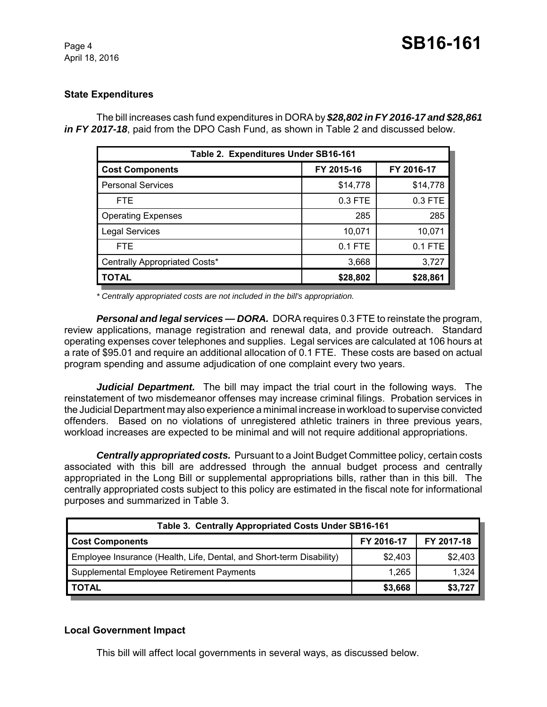## **State Expenditures**

The bill increases cash fund expenditures in DORA by *\$28,802 in FY 2016-17 and \$28,861 in FY 2017-18*, paid from the DPO Cash Fund, as shown in Table 2 and discussed below.

| Table 2. Expenditures Under SB16-161 |            |            |  |  |
|--------------------------------------|------------|------------|--|--|
| <b>Cost Components</b>               | FY 2015-16 | FY 2016-17 |  |  |
| <b>Personal Services</b>             | \$14,778   | \$14,778   |  |  |
| <b>FTE</b>                           | 0.3 FTE    | 0.3 FTE    |  |  |
| <b>Operating Expenses</b>            | 285        | 285        |  |  |
| <b>Legal Services</b>                | 10,071     | 10,071     |  |  |
| <b>FTE</b>                           | $0.1$ FTE  | 0.1 FTE    |  |  |
| Centrally Appropriated Costs*        | 3,668      | 3,727      |  |  |
| <b>TOTAL</b>                         | \$28,802   | \$28,861   |  |  |

*\* Centrally appropriated costs are not included in the bill's appropriation.*

*Personal and legal services — DORA.* DORA requires 0.3 FTE to reinstate the program, review applications, manage registration and renewal data, and provide outreach. Standard operating expenses cover telephones and supplies. Legal services are calculated at 106 hours at a rate of \$95.01 and require an additional allocation of 0.1 FTE. These costs are based on actual program spending and assume adjudication of one complaint every two years.

*Judicial Department.* The bill may impact the trial court in the following ways. The reinstatement of two misdemeanor offenses may increase criminal filings. Probation services in the Judicial Department may also experience a minimal increase in workload to supervise convicted offenders. Based on no violations of unregistered athletic trainers in three previous years, workload increases are expected to be minimal and will not require additional appropriations.

*Centrally appropriated costs.* Pursuant to a Joint Budget Committee policy, certain costs associated with this bill are addressed through the annual budget process and centrally appropriated in the Long Bill or supplemental appropriations bills, rather than in this bill. The centrally appropriated costs subject to this policy are estimated in the fiscal note for informational purposes and summarized in Table 3.

| Table 3. Centrally Appropriated Costs Under SB16-161                 |            |            |  |  |  |
|----------------------------------------------------------------------|------------|------------|--|--|--|
| <b>Cost Components</b>                                               | FY 2016-17 | FY 2017-18 |  |  |  |
| Employee Insurance (Health, Life, Dental, and Short-term Disability) | \$2,403    | \$2,403    |  |  |  |
| Supplemental Employee Retirement Payments                            | 1.265      | 1,324      |  |  |  |
| <b>TOTAL</b>                                                         | \$3,668    | \$3,727    |  |  |  |

## **Local Government Impact**

This bill will affect local governments in several ways, as discussed below.